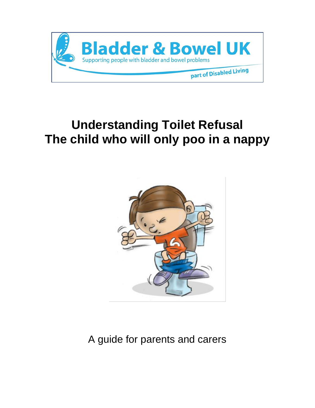

# **Understanding Toilet Refusal The child who will only poo in a nappy**



A guide for parents and carers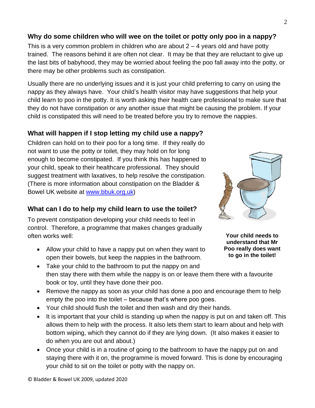## **Why do some children who will wee on the toilet or potty only poo in a nappy?**

This is a very common problem in children who are about  $2 - 4$  years old and have potty trained. The reasons behind it are often not clear. It may be that they are reluctant to give up the last bits of babyhood, they may be worried about feeling the poo fall away into the potty, or there may be other problems such as constipation.

Usually there are no underlying issues and it is just your child preferring to carry on using the nappy as they always have. Your child's health visitor may have suggestions that help your child learn to poo in the potty. It is worth asking their health care professional to make sure that they do not have constipation or any another issue that might be causing the problem. If your child is constipated this will need to be treated before you try to remove the nappies.

### **What will happen if I stop letting my child use a nappy?**

Children can hold on to their poo for a long time. If they really do not want to use the potty or toilet, they may hold on for long enough to become constipated. If you think this has happened to your child, speak to their healthcare professional. They should suggest treatment with laxatives, to help resolve the constipation. (There is more information about constipation on the Bladder & Bowel UK website at [www.bbuk.org.uk\)](http://www.bbuk.org.uk/)

#### **What can I do to help my child learn to use the toilet?**

To prevent constipation developing your child needs to feel in control. Therefore, a programme that makes changes gradually often works well:

• Allow your child to have a nappy put on when they want to open their bowels, but keep the nappies in the bathroom.



**Your child needs to understand that Mr Poo really does want to go in the toilet!**

- Take your child to the bathroom to put the nappy on and then stay there with them while the nappy is on or leave them there with a favourite book or toy, until they have done their poo.
- Remove the nappy as soon as your child has done a poo and encourage them to help empty the poo into the toilet – because that's where poo goes.
- Your child should flush the toilet and then wash and dry their hands.
- It is important that your child is standing up when the nappy is put on and taken off. This allows them to help with the process. It also lets them start to learn about and help with bottom wiping, which they cannot do if they are lying down. (It also makes it easier to do when you are out and about.)
- Once your child is in a routine of going to the bathroom to have the nappy put on and staying there with it on, the programme is moved forward. This is done by encouraging your child to sit on the toilet or potty with the nappy on.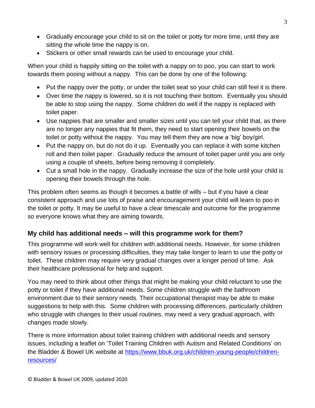- Gradually encourage your child to sit on the toilet or potty for more time, until they are sitting the whole time the nappy is on.
- Stickers or other small rewards can be used to encourage your child.

When your child is happily sitting on the toilet with a nappy on to poo, you can start to work towards them pooing without a nappy. This can be done by one of the following:

- Put the nappy over the potty, or under the toilet seat so your child can still feel it is there.
- Over time the nappy is lowered, so it is not touching their bottom. Eventually you should be able to stop using the nappy. Some children do well if the nappy is replaced with toilet paper.
- Use nappies that are smaller and smaller sizes until you can tell your child that, as there are no longer any nappies that fit them, they need to start opening their bowels on the toilet or potty without the nappy. You may tell them they are now a 'big' boy/girl.
- Put the nappy on, but do not do it up. Eventually you can replace it with some kitchen roll and then toilet paper. Gradually reduce the amount of toilet paper until you are only using a couple of sheets, before being removing it completely.
- Cut a small hole in the nappy. Gradually increase the size of the hole until your child is opening their bowels through the hole.

This problem often seems as though it becomes a battle of wills – but if you have a clear consistent approach and use lots of praise and encouragement your child will learn to poo in the toilet or potty. It may be useful to have a clear timescale and outcome for the programme so everyone knows what they are aiming towards.

## **My child has additional needs – will this programme work for them?**

This programme will work well for children with additional needs. However, for some children with sensory issues or processing difficulties, they may take longer to learn to use the potty or toilet. These children may require very gradual changes over a longer period of time. Ask their healthcare professional for help and support.

You may need to think about other things that might be making your child reluctant to use the potty or toilet if they have additional needs. Some children struggle with the bathroom environment due to their sensory needs. Their occupational therapist may be able to make suggestions to help with this. Some children with processing differences, particularly children who struggle with changes to their usual routines, may need a very gradual approach, with changes made slowly.

There is more information about toilet training children with additional needs and sensory issues, including a leaflet on 'Toilet Training Children with Autism and Related Conditions' on the Bladder & Bowel UK website at [https://www.bbuk.org.uk/children-young-people/children](https://www.bbuk.org.uk/children-young-people/children-resources/)[resources/](https://www.bbuk.org.uk/children-young-people/children-resources/)